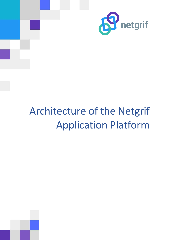

# Architecture of the Netgrif Application Platform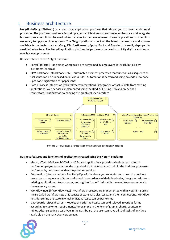## 1 Business architecture

**Netgrif** (bsNetgrifPlatfrom) is a low code application platform that allows you to cover end-to-end processes. The platform provides a fast, simple, and efficient way to automate, orchestrate and integrate business processes. It can be used when it comes to the development of new applications or when it is necessary to upgrade older systems. The Netgrif platform is built on the latest open-source and sourceavailable technologies such as MongoDB, Elasticsearch, Spring Boot and Angular. It is easily deployed in small infrastructure. The Netgrif application platform helps those who need to quickly digitize existing or new business processes.

Basic attributes of the Netgrif platform:

- Portal (bfPortal) one place where tasks are performed by employees (eTasks), but also by customers (eForms).
- BPM Backbone (bfBackboneBPM) automated business processes that function as a sequence of tasks that can be run based on business rules. Automation is performed using no code / low code - pro code digitization of "paper jobs"
- Data / Process Integration (bfDataProcessIntegration) integration of tasks / data from existing applications. Web services implemented using the REST API. Using RPA and predefined connectors. Possibility of exchanging the graphical user interface.



**Picture 1 – Business architecture of Netgrif Application Platform**

#### **Business features and functions of applications created using the Netgrif platform:**

- eForm, eTask (bfeForm, bfeTask) NAE-based applications provide a single access point to perform employee tasks across the organization. If necessary, also within the business processes performed by customers within the provided services.
- Automation (bfAutomation) The Netgrif platform allows you to model and automate business processes as sequences of tasks performed in accordance with defined rules, integrate tasks from existing applications into processes, and digitize "paper" tasks with the need to program only to the necessary extent.
- Workflow nets (bfWorkflowNets) Workflow processes are implemented within Netgrif AE using the so-called workflow nets that consist of state variables, tasks, and their connections. Workflow nets determine the state in which individual tasks can be performed.
- Dashboards (bfDashboards) Reports of performed tasks can be displayed in various forms according to customer requirements, for example in the form of graphs, charts, counters or tables. After selecting a task type in the Dashboard, the user can have a list of tasks of any type available on the Task Overview screen.

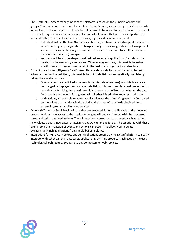- RBAC (bfRBAC) Access management of the platform is based on the principle of roles and groups. You can define permissions for a role on tasks. But also, you can assign roles to users who interact with tasks in the process. In addition, it is possible to fully automate tasks with the use of the so-called system roles that automatically run tasks. It means that activities are performed automatically by some software instead of a user, e.g., based on a timer or event.
	- o Individual tasks in the Task Overview can be assigned to users based on predefined roles. When it is assigned, the job status changes from job processing status to job assignment status. If necessary, the assigned task can be cancelled or moved to another user with the same permissions (reassign).
	- $\circ$  You can use filters to create personalized task reports in applications. Reports can be created by the user or by a supervisor. When managing users, it is possible to assign specific users to roles and groups within the customer's organizational structure.
- Dynamic data forms (bfDynamicDataForms) Data fields or data forms can be bound to tasks. When performing the task itself, it is possible to fill in data fields or automatically calculate by calling the so-called actions.
	- $\circ$  One data field can be linked to several tasks (via data references) in which its value can be changed or displayed. You can use data field attributes to set data field properties for individual tasks. Using these attributes, it is, therefore, possible to set whether the data field is visible in the form for a given task, whether it is editable, required, and so on.
	- $\circ$  With actions, it is possible to automatically calculate the value of a given data field based on the values of other data fields, including the values of data fields obtained from external systems by calling web services.
- Actions (bfActions) Small blocks of code that are executed during the life cycle of the modelled process. Actions have access to the application engine API and can interact with the processes, cases, and tasks contained in them. These interactions correspond to an event, such as setting new values, creating new cases, or assigning a task. Multiple actions can be associated with these events, so a chain reaction of events and actions can occur. This allows you to create extraordinarily rich applications from simple building blocks.
- Integrations (bfWS, bfConnectors, bfRPA) Applications created by the Netgrif platform can easily integrate with other systems, databases, applications, etc. This property is achieved by the used technological architecture. You can use any connectors or web services.

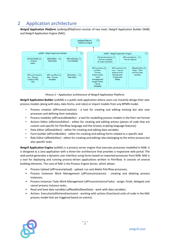## 2 Application architecture

*Netgrif Application Platform (asNetgrifPlatfrom)* consists of two tools: Netgrif Application Builder (NAB) and Netgrif Application Engine (NAE).



**Picture 2 – Application architecture of Netgrif Application Platform**

**Netgrif Application Builder** (asNAB) is a public web application where users can instantly design their own process models (along with data, data forms, and roles) or import models from any BPMN model.

- Process creation (afProcessCreation) a tool for creating and editing existing but also new processes and defining their metadata
- Process modeller (afProcessModeller) a tool for modelling process models in the Petri net format
- Actions Editor (afActionsEditor) editor for creating and editing actions (pieces of code that are custom and specific for Petriflow language and the Groovy scripting language features)
- Data Editor (afDataEditor) editor for creating and editing data variables
- Form builder (afFormBuilder) editor for creating and editing forms related to a specific task
- Role Editor (afRoleEditor) editor for creating and editing roles belonging to the entire process but also specific tasks

**Netgrif Application Engine** (asNAE) is a process server engine that executes processes modelled in NAB. It is designed as a Java application with a three-tier architecture that provides a responsive web portal. The web portal generates a dynamic user interface using forms based on imported processes from NAB. NAE is a tool for deploying and running process-driven applications written in Petriflow. It consists of several building elements. The core of NAE is the Process Engine Server, which allows:

- Process Upload (afProcessUpload) upload, run and delete Petriflow processes;
- Process Instances Work Management (afProcessInstances) creating and deleting process instances;
- Process instances Tasks Work Management (afProcessInstanceTasks) assign, finish, delegate and cancel process instance tasks;
- Read and Save data variables (afReadAndSaveData) work with data variables;
- Actions Execution(afActionsExectuion) working with actions (functional units of code in the NAE process model that are triggered based on events).

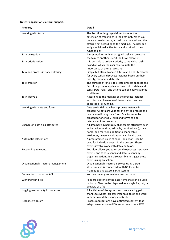#### **Netgrif application platform supports:**

| Property                            | <b>Detail</b>                                                                                                                                                                                                                                                                                 |
|-------------------------------------|-----------------------------------------------------------------------------------------------------------------------------------------------------------------------------------------------------------------------------------------------------------------------------------------------|
| Working with tasks                  | The Petriflow language defines tasks as the<br>extension of transitions in the Petri net. When you<br>create a new instance, all tasks are created, and their<br>status is set according to the marking. The user can<br>assign individual active tasks and work with their<br>functionality. |
| Task delegation                     | A user working with an assigned task can delegate<br>the task to another user if the RBAC allows it.                                                                                                                                                                                          |
| Task prioritization                 | It is possible to assign a priority to individual tasks<br>based on which the user can evaluate the<br>importance of their processing.                                                                                                                                                        |
| Task and process instance filtering | Simple but also advanced filters can be easily created<br>for every task and process instance based on their<br>priority, metadata, data, etc.                                                                                                                                                |
| <b>Task creation</b>                | The purpose of NAB is to create process applications.<br>Petriflow process applications consist of states and<br>tasks. Data, roles, and actions can be easily assigned<br>to all tasks.                                                                                                      |
| Task lifecycle                      | According to the marking of the process instance,<br>each task can have one of these states: inactive,<br>executable, or running.                                                                                                                                                             |
| Working with data and forms         | Data are initialized when a process instance is<br>created. All data are valid for the entire process and<br>can be used in any data form. One form can be<br>created for one task. Tasks and forms can be<br>referenced interprocessly.                                                      |
| Changes in data filed attributes    | All data have dynamically changeable attributes such<br>as behaviour (visible, editable, required, etc.), style,<br>name, and more. In addition to changeable<br>attributes, dynamic validations can be also used.                                                                            |
| <b>Automatic calculations</b>       | A programmed piece of code - an action - can be<br>used for individual events in the process. These<br>events involve work with data and tasks.                                                                                                                                               |
| Responding to events                | Petriflow allows you to respond to process instance's<br>events, and task's events and data's events by<br>triggering actions. It is also possible to trigger these<br>events using an action.                                                                                                |
| Organizational structure management | Organizational structure is solved using a tree<br>structure and is connected to RBAC. It can be<br>mapped to any external IAM system.                                                                                                                                                        |
| Connection to external API          | You can use any connectors, web services                                                                                                                                                                                                                                                      |
| Working with files                  | Files are also one of the data items that can be used<br>in forms. Files can be displayed as a single file, list, or<br>preview of a file.                                                                                                                                                    |
| Logging user activity in processes  | All activities of the system and users are logged<br>thanks to events (process instances, tasks and work<br>with data) and thus easily auditable.                                                                                                                                             |
| Responsive design                   | Process applications have optimized content that<br>adapts seamlessly to different screen sizes - PWA.                                                                                                                                                                                        |

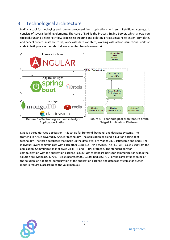# 3 Technological architecture

NAE is a tool for deploying and running process-driven applications written in Petriflow language. It consists of several building elements. The core of NAE is the Process Engine Server, which allows you to: load, run and delete Petriflow processes; creating and deleting process instances; assign, complete, and cancel process instance tasks; work with data variables; working with actions (functional units of code in NAE process models that are executed based on events).



NAE is a three-tier web application - it is set up for frontend, backend, and database systems. The frontend in NAE is covered by Angular technology. The application backend is built on Spring boot technology. The three databases that make up the data layer are MongoDB, Elasticsearch and Redis. The individual layers communicate with each other using REST API services. The REST API is also used from the application. Communication is allowed via HTTP and HTTPS protocols. The standard port for communication with the application backend is 8080. Other standard ports for communication within the solution are: MongoDB (27017), Elasticsearch (9200, 9300), Redis (6379). For the correct functioning of the solution, an additional configuration of the application backend and database systems for cluster mode is required, according to the valid manuals.

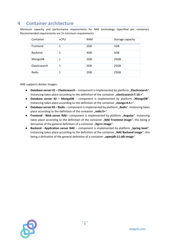## 4 Container architecture

Minimum capacity and performance requirements for NAE technology (specified per container). Recommended requirements are 2x minimum requirements.

| Container      | <b>vCPU</b>    | <b>RAM</b> | Storage capacity |
|----------------|----------------|------------|------------------|
| Frontend       | 1              | 2GB        | 1GB              |
| <b>Backend</b> | $\overline{2}$ | 4GB        | 5GB              |
| MongoDB        | 1              | 2GB        | 25GB             |
| Elasticsearch  | 1              | 2GB        | 25GB             |
| Redis          | 1              | 2GB        | 25GB             |

NAE supports docker images:

- **Database server #1 Elasticsearch** component is implemented by platform "**Elasticsearch"**. Instancing takes place according to the definition of the container "**elasticsearch:7.10.+**".
- **Database server #2 – MongoDB**  component is implemented by platform "**MongoDB**". Instancing takes place according to the definition of the container "mongo:4.4.+".
- **Database server #3 – Redis**  component is implemented by platform "**Redis**". Instancing takes place according to the definition of the container "redis:5+".
- **Frontend Web server NAE** component is implemented by platform "Angular". Instancing takes place according to the definition of the container "**NAE Frontend image**", this being a derivative of the general definition of a container "Nginx image".
- **•** Backend Application server NAE component is implemented by platform "Spring boot". Instancing takes place according to the definition of the container "NAE Backend image", this being a derivative of the general definition of a container "openjdk:11-jdk image".

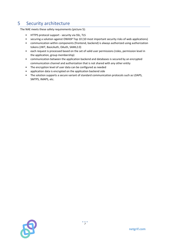# 5 Security architecture

The NAE meets these safety requirements (picture 5):

- HTTPS protocol support security via SSL, TLS
- securing a solution against OWASP Top 10 (10 most important security risks of web applications)
- communication within components (frontend, backend) is always authorized using authorization tokens (JWT, BasicAuth, OAuth, SAML2.0)
- each request is processed based on the set of valid user permissions (roles, permission level in the application, group membership)
- communication between the application backend and databases is secured by an encrypted communication channel and authorization that is not shared with any other entity
- The encryption level of user data can be configured as needed
- application data is encrypted on the application backend side
- The solution supports a secure variant of standard communication protocols such as LDAPS, SMTPS, IMAPS, etc.

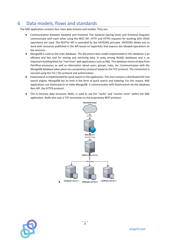# 6 Data models, flows and standards

The NAE application contains four main data streams and models. They are:

- Communication between backend and frontend. The backend (Spring boot) and frontend (Angular) communicate with each other using the REST API. HTTP and HTTPS requests for working with CRUD operations are used. The RESTful API is extended by the HATEOAS principle. HATEOAS allows you to work with resources published in the API based on hyperlinks that express the allowed operations on the resource.
- MongoDB is used as the main database. The document data model implemented in this database is an efficient and fast tool for storing and retrieving data. It ranks among NoSQL databases and is an important building block for "real-time" web applications such as NAE. This database stores all data from Petriflow processes, as well as information about users, groups, roles, etc. Communication with the MongoDB database takes place via a proprietary protocol based on the TCP protocol. The connection is secured using the TLS / SSL protocol and authorization.
- Elasticsearch is implemented for quick search in the application. This tool contains a distributed full-text search engine. MongoDB has its limit in the form of quick search and indexing. For this reason, NAE applications use Elasticsearch to index MongoDB. It communicates with Elasticsearch via the database Rest API, the HTTPS protocol.
- The in-memory data structure, Redis, is used to use the "cache" and "session store" within the NAE application. Redis also uses a TCP connection to the proprietary REST protocol.



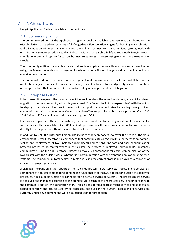# 7 NAE Editions

Netgrif Application Engine is available in two editions:

#### 7.1 Community Edition

The community edition of the Application Engine is publicly available, open-source, distributed on the GitHub platform. The edition contains a full-fledged Petriflow workflow engine for building any application. It also includes built-in user management with the ability to connect to LDAP-compliant systems, work with organizational structures, advanced data indexing with Elasticsearch, a full-featured email client, in-process PDF file generator and support for custom business rules across processes using BRE (Business Rules Engine) Drools.

The community edition is available as a standalone Java application, as a library that can be downloaded using the Maven dependency management system, or as a Docker Image for direct deployment to a container environment.

The community edition is intended for development and applications for which one installation of the Application Engine is sufficient. It is suitable for beginning developers, for rapid prototyping of the solution, or for applications that do not require extensive scaling or a larger number of integrations.

#### 7.2 Enterprise Edition

Enterprise edition expands the community edition, so it builds on the same foundations, so a quick and easy migration from the community edition is guaranteed. The Enterprise Edition expands NAE with the ability to deploy to a private cloud environment with support for simple horizontal scaling through direct communication with the Kubernetes Orchestra. It also offers support for authorization protocols OAuth2.0, SAML2.0 with SSO capability and advanced settings for LDAP.

For easier integration with external systems, the edition enables automated generation of connectors for web services with the available OpenAPI3 or SOAP specifications. It is also possible to publish web services directly from the process without the need for developer intervention.

In addition to NAE, the Enterprise Edition also includes other components to cover the needs of the cloud environment. Netgrif Operator is a component that communicates directly with Kubernetes for automatic scaling and deployment of NAE instances (containers) and for ensuring fast and easy communication between processes no matter where in the cluster the process is deployed. Individual NAE instances communicate using the gRPC protocol. Netgrif Gateway is a component for easier communication of the NAE cluster with the outside world, whether it is communication with the frontend application or external systems. The component automatically redirects queries to the correct process and provides verification of access to deployed processes.

A significant expansion is the support of the so-called process micro-services. Process micro-service is a component of a cluster solution for extending the functionality of the NAE application outside the deployed processes, it is a support function or connector for external services or systems. The process micro-service is deployed and managed according to the architectural design of the micro-services. For comparison with the community edition, the generation of PDF files is considered a process micro-service and so it can be scaled separately and can be used by all processes deployed in the cluster. Process micro-services are currently under development and will be launched soon for production